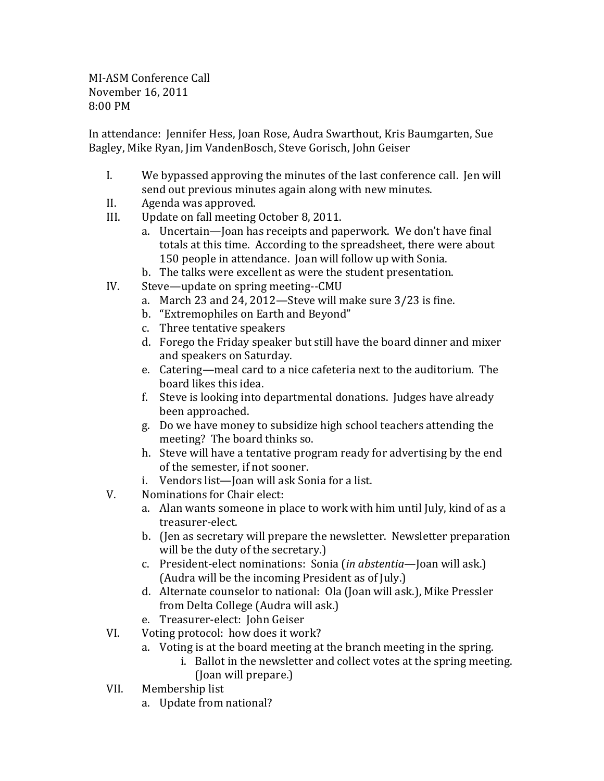MI-ASM Conference Call November 16, 2011 8:00 PM

In attendance: Jennifer Hess, Joan Rose, Audra Swarthout, Kris Baumgarten, Sue Bagley, Mike Ryan, Jim VandenBosch, Steve Gorisch, John Geiser

- I. We bypassed approving the minutes of the last conference call. Jen will send out previous minutes again along with new minutes.
- II. Agenda was approved.
- III. Update on fall meeting October 8, 2011.
	- a. Uncertain—Joan has receipts and paperwork. We don't have final totals at this time. According to the spreadsheet, there were about 150 people in attendance. Joan will follow up with Sonia.
	- b. The talks were excellent as were the student presentation.
- IV. Steve—update on spring meeting--CMU
	- a. March 23 and 24, 2012—Steve will make sure 3/23 is fine.
	- b. "Extremophiles on Earth and Beyond"
	- c. Three tentative speakers
	- d. Forego the Friday speaker but still have the board dinner and mixer and speakers on Saturday.
	- e. Catering—meal card to a nice cafeteria next to the auditorium. The board likes this idea.
	- f. Steve is looking into departmental donations. Judges have already been approached.
	- g. Do we have money to subsidize high school teachers attending the meeting? The board thinks so.
	- h. Steve will have a tentative program ready for advertising by the end of the semester, if not sooner.
	- i. Vendors list—Joan will ask Sonia for a list.
- V. Nominations for Chair elect:
	- a. Alan wants someone in place to work with him until July, kind of as a treasurer-elect.
	- b. (Jen as secretary will prepare the newsletter. Newsletter preparation will be the duty of the secretary.)
	- c. President-elect nominations: Sonia (in abstentia—Joan will ask.) (Audra will be the incoming President as of July.)
	- d. Alternate counselor to national: Ola (Joan will ask.), Mike Pressler from Delta College (Audra will ask.)
	- e. Treasurer-elect: John Geiser
- VI. Voting protocol: how does it work?
	- a. Voting is at the board meeting at the branch meeting in the spring.
		- i. Ballot in the newsletter and collect votes at the spring meeting. (Joan will prepare.)
- VII. Membership list
	- a. Update from national?